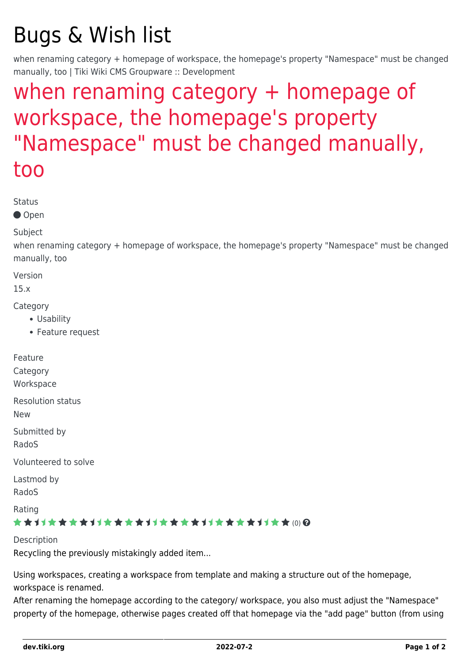## Bugs & Wish list

when renaming category + homepage of workspace, the homepage's property "Namespace" must be changed manually, too | Tiki Wiki CMS Groupware :: Development

## [when renaming category + homepage of](https://dev.tiki.org/item6223-when-renaming-category-homepage-of-workspace-the-homepage-s-property-Namespace-must-be-changed-manually-too) [workspace, the homepage's property](https://dev.tiki.org/item6223-when-renaming-category-homepage-of-workspace-the-homepage-s-property-Namespace-must-be-changed-manually-too) ["Namespace" must be changed manually,](https://dev.tiki.org/item6223-when-renaming-category-homepage-of-workspace-the-homepage-s-property-Namespace-must-be-changed-manually-too) [too](https://dev.tiki.org/item6223-when-renaming-category-homepage-of-workspace-the-homepage-s-property-Namespace-must-be-changed-manually-too)

Status

● Open

Subject

when renaming category + homepage of workspace, the homepage's property "Namespace" must be changed manually, too

Version

15.x

**Category** 

- Usability
- Feature request

| <b>Resolution status</b><br><b>New</b><br>Submitted by<br>RadoS<br>Volunteered to solve<br>Lastmod by<br>RadoS<br>Rating<br>★★オオ★★★★オオ★★★★オオ★★★★オオ★★★★オオ★★⑽@ | Feature<br>Category<br>Workspace |
|--------------------------------------------------------------------------------------------------------------------------------------------------------------|----------------------------------|
|                                                                                                                                                              |                                  |
|                                                                                                                                                              |                                  |
|                                                                                                                                                              |                                  |
|                                                                                                                                                              |                                  |
|                                                                                                                                                              |                                  |

Description Recycling the previously mistakingly added item...

Using workspaces, creating a workspace from template and making a structure out of the homepage, workspace is renamed.

After renaming the homepage according to the category/ workspace, you also must adjust the "Namespace" property of the homepage, otherwise pages created off that homepage via the "add page" button (from using